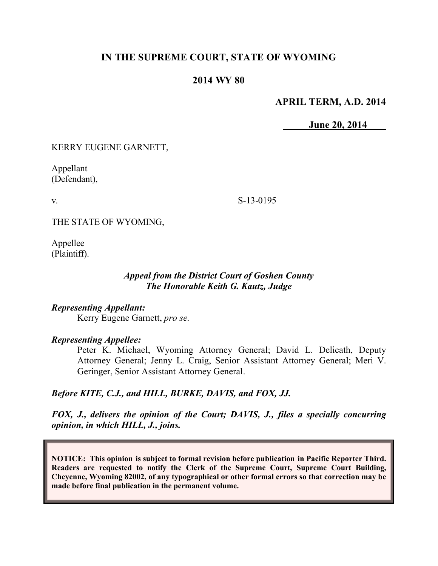# **IN THE SUPREME COURT, STATE OF WYOMING**

## **2014 WY 80**

#### **APRIL TERM, A.D. 2014**

**June 20, 2014**

## KERRY EUGENE GARNETT,

Appellant (Defendant),

v.

S-13-0195

THE STATE OF WYOMING,

Appellee (Plaintiff).

## *Appeal from the District Court of Goshen County The Honorable Keith G. Kautz, Judge*

#### *Representing Appellant:*

Kerry Eugene Garnett, *pro se*.

#### *Representing Appellee:*

Peter K. Michael, Wyoming Attorney General; David L. Delicath, Deputy Attorney General; Jenny L. Craig, Senior Assistant Attorney General; Meri V. Geringer, Senior Assistant Attorney General.

#### *Before KITE, C.J., and HILL, BURKE, DAVIS, and FOX, JJ.*

*FOX, J., delivers the opinion of the Court; DAVIS, J., files a specially concurring opinion, in which HILL, J., joins.*

**NOTICE: This opinion is subject to formal revision before publication in Pacific Reporter Third. Readers are requested to notify the Clerk of the Supreme Court, Supreme Court Building, Cheyenne, Wyoming 82002, of any typographical or other formal errors so that correction may be made before final publication in the permanent volume.**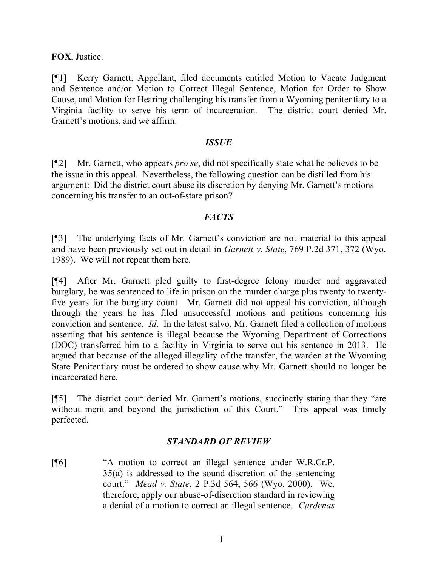**FOX**, Justice.

[¶1] Kerry Garnett, Appellant, filed documents entitled Motion to Vacate Judgment and Sentence and/or Motion to Correct Illegal Sentence, Motion for Order to Show Cause, and Motion for Hearing challenging his transfer from a Wyoming penitentiary to a Virginia facility to serve his term of incarceration*.* The district court denied Mr. Garnett's motions, and we affirm.

## *ISSUE*

[¶2] Mr. Garnett, who appears *pro se*, did not specifically state what he believes to be the issue in this appeal. Nevertheless, the following question can be distilled from his argument: Did the district court abuse its discretion by denying Mr. Garnett's motions concerning his transfer to an out-of-state prison?

## *FACTS*

[¶3] The underlying facts of Mr. Garnett's conviction are not material to this appeal and have been previously set out in detail in *Garnett v. State*, 769 P.2d 371, 372 (Wyo. 1989). We will not repeat them here.

[¶4] After Mr. Garnett pled guilty to first-degree felony murder and aggravated burglary, he was sentenced to life in prison on the murder charge plus twenty to twentyfive years for the burglary count. Mr. Garnett did not appeal his conviction, although through the years he has filed unsuccessful motions and petitions concerning his conviction and sentence. *Id*. In the latest salvo, Mr. Garnett filed a collection of motions asserting that his sentence is illegal because the Wyoming Department of Corrections (DOC) transferred him to a facility in Virginia to serve out his sentence in 2013. He argued that because of the alleged illegality of the transfer, the warden at the Wyoming State Penitentiary must be ordered to show cause why Mr. Garnett should no longer be incarcerated here.

[¶5] The district court denied Mr. Garnett's motions, succinctly stating that they "are without merit and beyond the jurisdiction of this Court." This appeal was timely perfected.

## *STANDARD OF REVIEW*

[¶6] "A motion to correct an illegal sentence under W.R.Cr.P. 35(a) is addressed to the sound discretion of the sentencing court." *Mead v. State*, 2 P.3d 564, 566 (Wyo. 2000). We, therefore, apply our abuse-of-discretion standard in reviewing a denial of a motion to correct an illegal sentence. *Cardenas*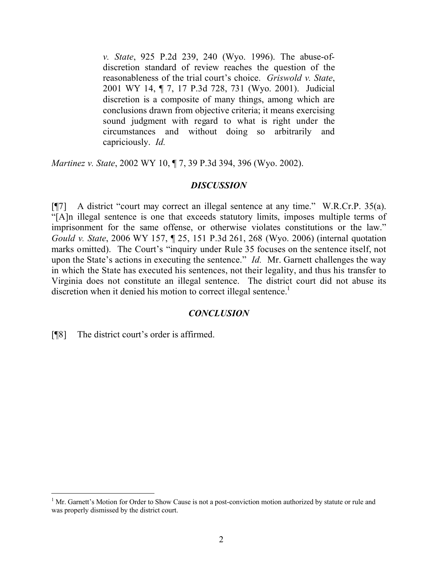*v. State*, 925 P.2d 239, 240 (Wyo. 1996). The abuse-ofdiscretion standard of review reaches the question of the reasonableness of the trial court's choice. *Griswold v. State*, 2001 WY 14, ¶ 7, 17 P.3d 728, 731 (Wyo. 2001). Judicial discretion is a composite of many things, among which are conclusions drawn from objective criteria; it means exercising sound judgment with regard to what is right under the circumstances and without doing so arbitrarily and capriciously. *Id.*

*Martinez v. State*, 2002 WY 10, ¶ 7, 39 P.3d 394, 396 (Wyo. 2002).

#### *DISCUSSION*

[¶7] A district "court may correct an illegal sentence at any time." W.R.Cr.P. 35(a). "[A]n illegal sentence is one that exceeds statutory limits, imposes multiple terms of imprisonment for the same offense, or otherwise violates constitutions or the law." *Gould v. State*, 2006 WY 157, ¶ 25, 151 P.3d 261, 268 (Wyo. 2006) (internal quotation marks omitted). The Court's "inquiry under Rule 35 focuses on the sentence itself, not upon the State's actions in executing the sentence." *Id.* Mr. Garnett challenges the way in which the State has executed his sentences, not their legality, and thus his transfer to Virginia does not constitute an illegal sentence. The district court did not abuse its discretion when it denied his motion to correct illegal sentence.<sup>1</sup>

#### *CONCLUSION*

[¶8] The district court's order is affirmed.

 $\overline{a}$ 

 $1$  Mr. Garnett's Motion for Order to Show Cause is not a post-conviction motion authorized by statute or rule and was properly dismissed by the district court.